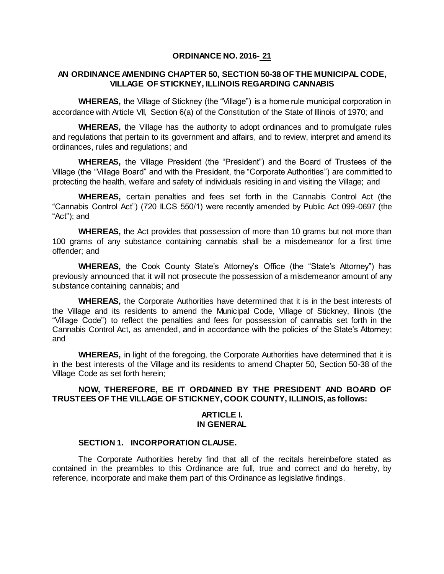## **ORDINANCE NO. 2016- 21**

## **AN ORDINANCE AMENDING CHAPTER 50, SECTION 50-38 OF THE MUNICIPAL CODE, VILLAGE OF STICKNEY, ILLINOIS REGARDING CANNABIS**

**WHEREAS,** the Village of Stickney (the "Village") is a home rule municipal corporation in accordance with Article VII, Section 6(a) of the Constitution of the State of Illinois of 1970; and

**WHEREAS,** the Village has the authority to adopt ordinances and to promulgate rules and regulations that pertain to its government and affairs, and to review, interpret and amend its ordinances, rules and regulations; and

**WHEREAS,** the Village President (the "President") and the Board of Trustees of the Village (the "Village Board" and with the President, the "Corporate Authorities") are committed to protecting the health, welfare and safety of individuals residing in and visiting the Village; and

**WHEREAS,** certain penalties and fees set forth in the Cannabis Control Act (the "Cannabis Control Act") (720 ILCS 550/1) were recently amended by Public Act 099-0697 (the "Act"); and

**WHEREAS,** the Act provides that possession of more than 10 grams but not more than 100 grams of any substance containing cannabis shall be a misdemeanor for a first time offender; and

**WHEREAS,** the Cook County State's Attorney's Office (the "State's Attorney") has previously announced that it will not prosecute the possession of a misdemeanor amount of any substance containing cannabis; and

**WHEREAS,** the Corporate Authorities have determined that it is in the best interests of the Village and its residents to amend the Municipal Code, Village of Stickney, Illinois (the "Village Code") to reflect the penalties and fees for possession of cannabis set forth in the Cannabis Control Act, as amended, and in accordance with the policies of the State's Attorney; and

**WHEREAS,** in light of the foregoing, the Corporate Authorities have determined that it is in the best interests of the Village and its residents to amend Chapter 50, Section 50-38 of the Village Code as set forth herein;

## **NOW, THEREFORE, BE IT ORDAINED BY THE PRESIDENT AND BOARD OF TRUSTEES OF THE VILLAGE OF STICKNEY, COOK COUNTY, ILLINOIS, as follows:**

### **ARTICLE I. IN GENERAL**

# **SECTION 1. INCORPORATION CLAUSE.**

The Corporate Authorities hereby find that all of the recitals hereinbefore stated as contained in the preambles to this Ordinance are full, true and correct and do hereby, by reference, incorporate and make them part of this Ordinance as legislative findings.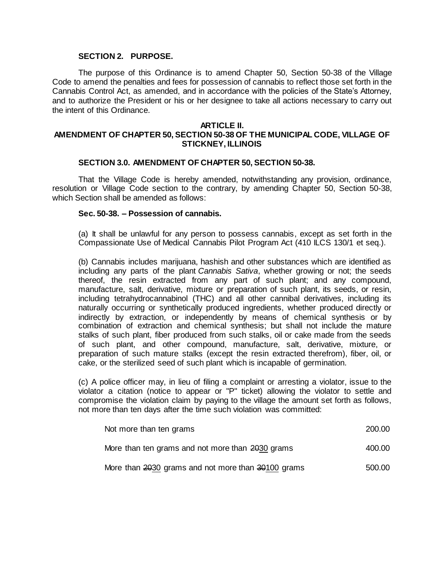## **SECTION 2. PURPOSE.**

The purpose of this Ordinance is to amend Chapter 50, Section 50-38 of the Village Code to amend the penalties and fees for possession of cannabis to reflect those set forth in the Cannabis Control Act, as amended, and in accordance with the policies of the State's Attorney, and to authorize the President or his or her designee to take all actions necessary to carry out the intent of this Ordinance.

#### **ARTICLE II.**

## **AMENDMENT OF CHAPTER 50, SECTION 50-38 OF THE MUNICIPAL CODE, VILLAGE OF STICKNEY, ILLINOIS**

#### **SECTION 3.0. AMENDMENT OF CHAPTER 50, SECTION 50-38.**

That the Village Code is hereby amended, notwithstanding any provision, ordinance, resolution or Village Code section to the contrary, by amending Chapter 50, Section 50-38, which Section shall be amended as follows:

#### **Sec. 50-38. – Possession of cannabis.**

(a) It shall be unlawful for any person to possess cannabis, except as set forth in the Compassionate Use of Medical Cannabis Pilot Program Act (410 ILCS 130/1 et seq.).

(b) Cannabis includes marijuana, hashish and other substances which are identified as including any parts of the plant *Cannabis Sativa*, whether growing or not; the seeds thereof, the resin extracted from any part of such plant; and any compound, manufacture, salt, derivative, mixture or preparation of such plant, its seeds, or resin, including tetrahydrocannabinol (THC) and all other cannibal derivatives, including its naturally occurring or synthetically produced ingredients, whether produced directly or indirectly by extraction, or independently by means of chemical synthesis or by combination of extraction and chemical synthesis; but shall not include the mature stalks of such plant, fiber produced from such stalks, oil or cake made from the seeds of such plant, and other compound, manufacture, salt, derivative, mixture, or preparation of such mature stalks (except the resin extracted therefrom), fiber, oil, or cake, or the sterilized seed of such plant which is incapable of germination.

(c) A police officer may, in lieu of filing a complaint or arresting a violator, issue to the violator a citation (notice to appear or "P" ticket) allowing the violator to settle and compromise the violation claim by paying to the village the amount set forth as follows, not more than ten days after the time such violation was committed:

| Not more than ten grams                            | 200.00 |
|----------------------------------------------------|--------|
| More than ten grams and not more than 2030 grams   | 400.00 |
| More than 2030 grams and not more than 30100 grams | 500.00 |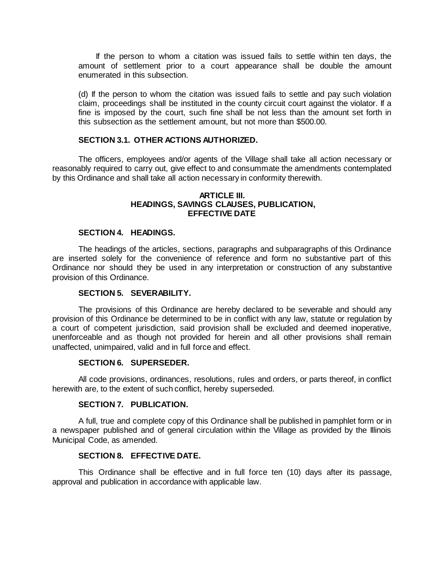If the person to whom a citation was issued fails to settle within ten days, the amount of settlement prior to a court appearance shall be double the amount enumerated in this subsection.

(d) If the person to whom the citation was issued fails to settle and pay such violation claim, proceedings shall be instituted in the county circuit court against the violator. If a fine is imposed by the court, such fine shall be not less than the amount set forth in this subsection as the settlement amount, but not more than \$500.00.

## **SECTION 3.1. OTHER ACTIONS AUTHORIZED.**

The officers, employees and/or agents of the Village shall take all action necessary or reasonably required to carry out, give effect to and consummate the amendments contemplated by this Ordinance and shall take all action necessary in conformity therewith.

### **ARTICLE III. HEADINGS, SAVINGS CLAUSES, PUBLICATION, EFFECTIVE DATE**

## **SECTION 4. HEADINGS.**

The headings of the articles, sections, paragraphs and subparagraphs of this Ordinance are inserted solely for the convenience of reference and form no substantive part of this Ordinance nor should they be used in any interpretation or construction of any substantive provision of this Ordinance.

## **SECTION 5. SEVERABILITY.**

The provisions of this Ordinance are hereby declared to be severable and should any provision of this Ordinance be determined to be in conflict with any law, statute or regulation by a court of competent jurisdiction, said provision shall be excluded and deemed inoperative, unenforceable and as though not provided for herein and all other provisions shall remain unaffected, unimpaired, valid and in full force and effect.

## **SECTION 6. SUPERSEDER.**

All code provisions, ordinances, resolutions, rules and orders, or parts thereof, in conflict herewith are, to the extent of such conflict, hereby superseded.

## **SECTION 7. PUBLICATION.**

A full, true and complete copy of this Ordinance shall be published in pamphlet form or in a newspaper published and of general circulation within the Village as provided by the Illinois Municipal Code, as amended.

# **SECTION 8. EFFECTIVE DATE.**

This Ordinance shall be effective and in full force ten (10) days after its passage, approval and publication in accordance with applicable law.